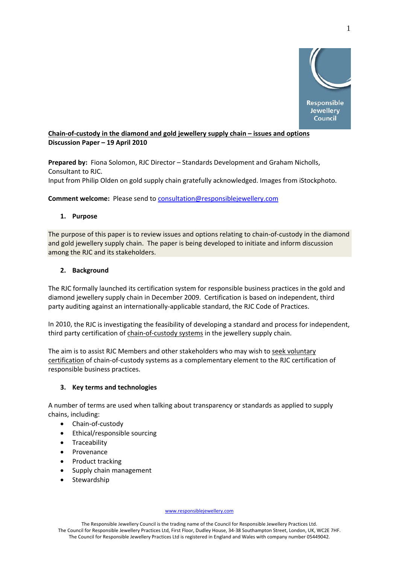

# **Chain‐of‐custody in the diamond and gold jewellery supply chain – issues and options Discussion Paper – 19 April 2010**

**Prepared by:** Fiona Solomon, RJC Director – Standards Development and Graham Nicholls, Consultant to RJC.

Input from Philip Olden on gold supply chain gratefully acknowledged. Images from iStockphoto.

**Comment welcome:** Please send to consultation@responsiblejewellery.com

# **1. Purpose**

The purpose of this paper is to review issues and options relating to chain-of-custody in the diamond and gold jewellery supply chain. The paper is being developed to initiate and inform discussion among the RJC and its stakeholders.

# **2. Background**

The RJC formally launched its certification system for responsible business practices in the gold and diamond jewellery supply chain in December 2009. Certification is based on independent, third party auditing against an internationally‐applicable standard, the RJC Code of Practices.

In 2010, the RJC is investigating the feasibility of developing a standard and process for independent, third party certification of chain-of-custody systems in the jewellery supply chain.

The aim is to assist RJC Members and other stakeholders who may wish to seek voluntary certification of chain‐of‐custody systems as a complementary element to the RJC certification of responsible business practices.

## **3. Key terms and technologies**

A number of terms are used when talking about transparency or standards as applied to supply chains, including:

- Chain‐of‐custody
- Ethical/responsible sourcing
- Traceability
- Provenance
- Product tracking
- Supply chain management
- **Stewardship**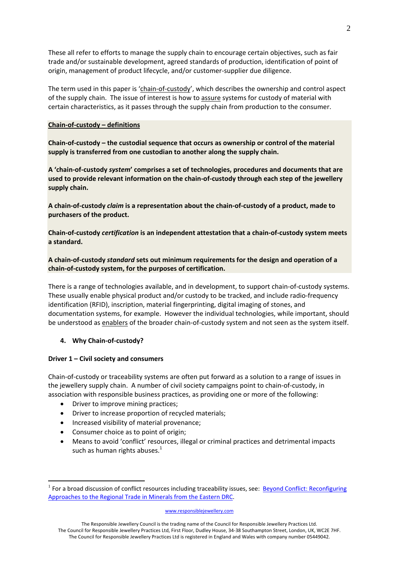These all refer to efforts to manage the supply chain to encourage certain objectives, such as fair trade and/or sustainable development, agreed standards of production, identification of point of origin, management of product lifecycle, and/or customer‐supplier due diligence.

The term used in this paper is 'chain-of-custody', which describes the ownership and control aspect of the supply chain. The issue of interest is how to assure systems for custody of material with certain characteristics, as it passes through the supply chain from production to the consumer.

## **Chain‐of‐custody – definitions**

**Chain‐of‐custody – the custodial sequence that occurs as ownership or control of the material supply is transferred from one custodian to another along the supply chain.** 

**A 'chain‐of‐custody** *system***' comprises a set of technologies, procedures and documents that are used to provide relevant information on the chain‐of‐custody through each step of the jewellery supply chain.** 

A chain-of-custody claim is a representation about the chain-of-custody of a product, made to **purchasers of the product.**

Chain-of-custody certification is an independent attestation that a chain-of-custody system meets **a standard.**

**A chain‐of‐custody** *standard* **sets out minimum requirements for the design and operation of a chain‐of‐custody system, for the purposes of certification.**

There is a range of technologies available, and in development, to support chain‐of‐custody systems. These usually enable physical product and/or custody to be tracked, and include radio‐frequency identification (RFID), inscription, material fingerprinting, digital imaging of stones, and documentation systems, for example. However the individual technologies, while important, should be understood as enablers of the broader chain-of-custody system and not seen as the system itself.

## **4. Why Chain‐of‐custody?**

1

### **Driver 1 – Civil society and consumers**

Chain‐of‐custody or traceability systems are often put forward as a solution to a range of issues in the jewellery supply chain. A number of civil society campaigns point to chain‐of‐custody, in association with responsible business practices, as providing one or more of the following:

- Driver to improve mining practices;
- Driver to increase proportion of recycled materials;
- Increased visibility of material provenance;
- Consumer choice as to point of origin:
- Means to avoid 'conflict' resources, illegal or criminal practices and detrimental impacts such as human rights abuses. $^{1}$

 $<sup>1</sup>$  For a broad discussion of conflict resources including traceability issues, see: Beyond Conflict: Reconfiguring</sup> Approaches to the Regional Trade in Minerals from the Eastern DRC.

The Responsible Jewellery Council is the trading name of the Council for Responsible Jewellery Practices Ltd. The Council for Responsible Jewellery Practices Ltd, First Floor, Dudley House, 34‐38 Southampton Street, London, UK, WC2E 7HF. The Council for Responsible Jewellery Practices Ltd is registered in England and Wales with company number 05449042.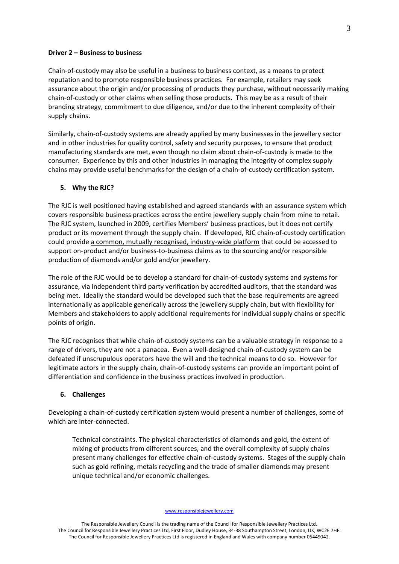### **Driver 2 – Business to business**

Chain‐of‐custody may also be useful in a business to business context, as a means to protect reputation and to promote responsible business practices. For example, retailers may seek assurance about the origin and/or processing of products they purchase, without necessarily making chain‐of‐custody or other claims when selling those products. This may be as a result of their branding strategy, commitment to due diligence, and/or due to the inherent complexity of their supply chains.

Similarly, chain‐of‐custody systems are already applied by many businesses in the jewellery sector and in other industries for quality control, safety and security purposes, to ensure that product manufacturing standards are met, even though no claim about chain‐of‐custody is made to the consumer. Experience by this and other industries in managing the integrity of complex supply chains may provide useful benchmarks for the design of a chain‐of‐custody certification system.

### **5. Why the RJC?**

The RJC is well positioned having established and agreed standards with an assurance system which covers responsible business practices across the entire jewellery supply chain from mine to retail. The RJC system, launched in 2009, certifies Members' business practices, but it does not certify product or its movement through the supply chain. If developed, RJC chain‐of‐custody certification could provide a common, mutually recognised, industry-wide platform that could be accessed to support on-product and/or business-to-business claims as to the sourcing and/or responsible production of diamonds and/or gold and/or jewellery.

The role of the RJC would be to develop a standard for chain‐of‐custody systems and systems for assurance, via independent third party verification by accredited auditors, that the standard was being met. Ideally the standard would be developed such that the base requirements are agreed internationally as applicable generically across the jewellery supply chain, but with flexibility for Members and stakeholders to apply additional requirements for individual supply chains or specific points of origin.

The RJC recognises that while chain-of-custody systems can be a valuable strategy in response to a range of drivers, they are not a panacea. Even a well‐designed chain‐of‐custody system can be defeated if unscrupulous operators have the will and the technical means to do so. However for legitimate actors in the supply chain, chain‐of‐custody systems can provide an important point of differentiation and confidence in the business practices involved in production.

### **6. Challenges**

Developing a chain‐of‐custody certification system would present a number of challenges, some of which are inter-connected.

Technical constraints. The physical characteristics of diamonds and gold, the extent of mixing of products from different sources, and the overall complexity of supply chains present many challenges for effective chain‐of‐custody systems. Stages of the supply chain such as gold refining, metals recycling and the trade of smaller diamonds may present unique technical and/or economic challenges.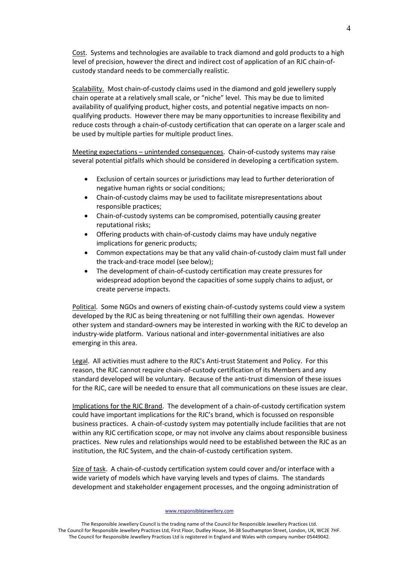Cost. Systems and technologies are available to track diamond and gold products to a high level of precision, however the direct and indirect cost of application of an RJC chain‐of‐ custody standard needs to be commercially realistic.

Scalability. Most chain-of-custody claims used in the diamond and gold jewellery supply chain operate at a relatively small scale, or "niche" level. This may be due to limited availability of qualifying product, higher costs, and potential negative impacts on non‐ qualifying products. However there may be many opportunities to increase flexibility and reduce costs through a chain‐of‐custody certification that can operate on a larger scale and be used by multiple parties for multiple product lines.

Meeting expectations – unintended consequences. Chain‐of‐custody systems may raise several potential pitfalls which should be considered in developing a certification system.

- Exclusion of certain sources or jurisdictions may lead to further deterioration of negative human rights or social conditions;
- Chain‐of‐custody claims may be used to facilitate misrepresentations about responsible practices;
- Chain‐of‐custody systems can be compromised, potentially causing greater reputational risks;
- Offering products with chain‐of‐custody claims may have unduly negative implications for generic products;
- Common expectations may be that any valid chain‐of‐custody claim must fall under the track‐and‐trace model (see below);
- The development of chain-of-custody certification may create pressures for widespread adoption beyond the capacities of some supply chains to adjust, or create perverse impacts.

Political. Some NGOs and owners of existing chain‐of‐custody systems could view a system developed by the RJC as being threatening or not fulfilling their own agendas. However other system and standard‐owners may be interested in working with the RJC to develop an industry‐wide platform. Various national and inter‐governmental initiatives are also emerging in this area.

Legal. All activities must adhere to the RJC's Anti-trust Statement and Policy. For this reason, the RJC cannot require chain‐of‐custody certification of its Members and any standard developed will be voluntary. Because of the anti-trust dimension of these issues for the RJC, care will be needed to ensure that all communications on these issues are clear.

Implications for the RJC Brand. The development of a chain‐of‐custody certification system could have important implications for the RJC's brand, which is focussed on responsible business practices. A chain‐of‐custody system may potentially include facilities that are not within any RJC certification scope, or may not involve any claims about responsible business practices. New rules and relationships would need to be established between the RJC as an institution, the RJC System, and the chain‐of‐custody certification system.

Size of task. A chain-of-custody certification system could cover and/or interface with a wide variety of models which have varying levels and types of claims. The standards development and stakeholder engagement processes, and the ongoing administration of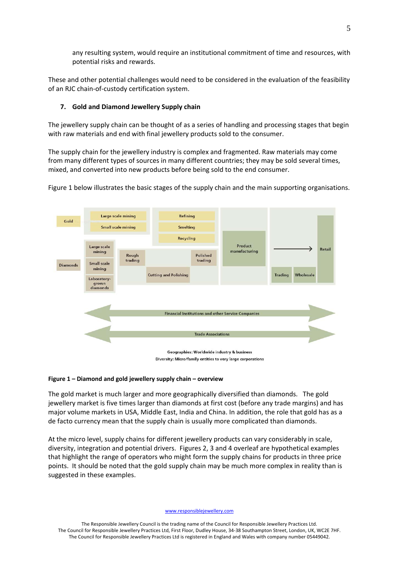any resulting system, would require an institutional commitment of time and resources, with potential risks and rewards.

These and other potential challenges would need to be considered in the evaluation of the feasibility of an RJC chain‐of‐custody certification system.

### **7. Gold and Diamond Jewellery Supply chain**

The jewellery supply chain can be thought of as a series of handling and processing stages that begin with raw materials and end with final jewellery products sold to the consumer.

The supply chain for the jewellery industry is complex and fragmented. Raw materials may come from many different types of sources in many different countries; they may be sold several times, mixed, and converted into new products before being sold to the end consumer.



Figure 1 below illustrates the basic stages of the supply chain and the main supporting organisations.

### **Figure 1 – Diamond and gold jewellery supply chain – overview**

The gold market is much larger and more geographically diversified than diamonds. The gold jewellery market is five times larger than diamonds at first cost (before any trade margins) and has major volume markets in USA, Middle East, India and China. In addition, the role that gold has as a de facto currency mean that the supply chain is usually more complicated than diamonds.

At the micro level, supply chains for different jewellery products can vary considerably in scale, diversity, integration and potential drivers. Figures 2, 3 and 4 overleaf are hypothetical examples that highlight the range of operators who might form the supply chains for products in three price points. It should be noted that the gold supply chain may be much more complex in reality than is suggested in these examples.

#### www.responsiblejewellery.com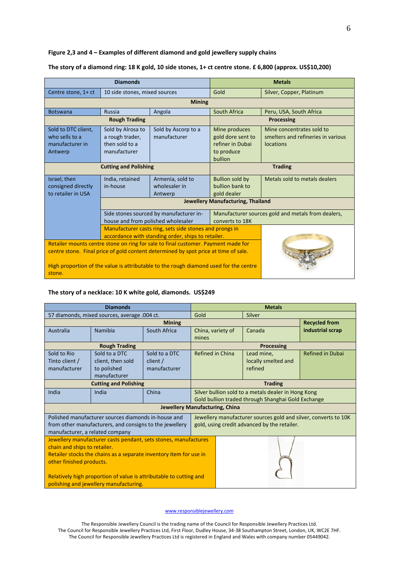### **Figure 2,3 and 4 – Examples of different diamond and gold jewellery supply chains**

## The story of a diamond ring: 18 K gold, 10 side stones, 1+ ct centre stone. £ 6,800 (approx. US\$10,200)

| <b>Diamonds</b>                                                                                                                                                                                                                                                             |                                                                                                               |                                              | <b>Metals</b>                                                                   |                                                                                     |  |
|-----------------------------------------------------------------------------------------------------------------------------------------------------------------------------------------------------------------------------------------------------------------------------|---------------------------------------------------------------------------------------------------------------|----------------------------------------------|---------------------------------------------------------------------------------|-------------------------------------------------------------------------------------|--|
| Centre stone, 1+ ct                                                                                                                                                                                                                                                         | 10 side stones, mixed sources                                                                                 |                                              | Gold                                                                            | Silver, Copper, Platinum                                                            |  |
|                                                                                                                                                                                                                                                                             |                                                                                                               | <b>Mining</b>                                |                                                                                 |                                                                                     |  |
| <b>Botswana</b>                                                                                                                                                                                                                                                             | <b>Russia</b>                                                                                                 | Angola                                       | South Africa                                                                    | Peru, USA, South Africa                                                             |  |
|                                                                                                                                                                                                                                                                             | <b>Rough Trading</b>                                                                                          |                                              | Processing                                                                      |                                                                                     |  |
| Sold to DTC client,<br>who sells to a<br>manufacturer in<br>Antwerp                                                                                                                                                                                                         | Sold by Alrosa to<br>a rough trader,<br>then sold to a<br>manufacturer                                        | Sold by Ascorp to a<br>manufacturer          | Mine produces<br>gold dore sent to<br>refiner in Dubai<br>to produce<br>bullion | Mine concentrates sold to<br>smelters and refineries in various<br><b>locations</b> |  |
| <b>Cutting and Polishing</b>                                                                                                                                                                                                                                                |                                                                                                               | <b>Trading</b>                               |                                                                                 |                                                                                     |  |
| Israel, then<br>consigned directly<br>to retailer in USA                                                                                                                                                                                                                    | India, retained<br>in-house                                                                                   | Armenia, sold to<br>wholesaler in<br>Antwerp | <b>Bullion sold by</b><br>bullion bank to<br>gold dealer                        | Metals sold to metals dealers                                                       |  |
|                                                                                                                                                                                                                                                                             |                                                                                                               | Jewellery Manufacturing, Thailand            |                                                                                 |                                                                                     |  |
|                                                                                                                                                                                                                                                                             | Side stones sourced by manufacturer in-<br>house and from polished wholesaler<br>converts to 18K              |                                              |                                                                                 | Manufacturer sources gold and metals from dealers,                                  |  |
|                                                                                                                                                                                                                                                                             | Manufacturer casts ring, sets side stones and prongs in<br>accordance with standing order, ships to retailer. |                                              |                                                                                 |                                                                                     |  |
| Retailer mounts centre stone on ring for sale to final customer. Payment made for<br>centre stone. Final price of gold content determined by spot price at time of sale.<br>High proportion of the value is attributable to the rough diamond used for the centre<br>stone. |                                                                                                               |                                              |                                                                                 |                                                                                     |  |

### **The story of a necklace: 10 K white gold, diamonds. US\$249**

| <b>Diamonds</b>                                                                                                                                                                                                                                                                                                   |                                                                                                                                                            |               | <b>Metals</b>                                                                                                   |                     |                         |
|-------------------------------------------------------------------------------------------------------------------------------------------------------------------------------------------------------------------------------------------------------------------------------------------------------------------|------------------------------------------------------------------------------------------------------------------------------------------------------------|---------------|-----------------------------------------------------------------------------------------------------------------|---------------------|-------------------------|
| 57 diamonds, mixed sources, average .004 ct.                                                                                                                                                                                                                                                                      |                                                                                                                                                            |               | Gold                                                                                                            | Silver              |                         |
|                                                                                                                                                                                                                                                                                                                   |                                                                                                                                                            | <b>Mining</b> |                                                                                                                 |                     | <b>Recycled from</b>    |
| Australia                                                                                                                                                                                                                                                                                                         | Namibia                                                                                                                                                    | South Africa  | China, variety of<br>mines                                                                                      | Canada              | industrial scrap        |
|                                                                                                                                                                                                                                                                                                                   | <b>Rough Trading</b>                                                                                                                                       |               |                                                                                                                 | Processing          |                         |
| Sold to Rio<br>Tinto client /<br>manufacturer                                                                                                                                                                                                                                                                     | Refined in China<br>Sold to a DTC<br>Sold to a DTC<br>Lead mine,<br>client, then sold<br>client/<br>refined<br>to polished<br>manufacturer<br>manufacturer |               |                                                                                                                 | locally smelted and | <b>Refined in Dubai</b> |
| <b>Cutting and Polishing</b>                                                                                                                                                                                                                                                                                      |                                                                                                                                                            |               | <b>Trading</b>                                                                                                  |                     |                         |
| India                                                                                                                                                                                                                                                                                                             | India                                                                                                                                                      | China         | Silver bullion sold to a metals dealer in Hong Kong<br>Gold bullion traded through Shanghai Gold Exchange       |                     |                         |
| <b>Jewellery Manufacturing, China</b>                                                                                                                                                                                                                                                                             |                                                                                                                                                            |               |                                                                                                                 |                     |                         |
| Polished manufacturer sources diamonds in-house and<br>from other manufacturers, and consigns to the jewellery<br>manufacturer, a related company                                                                                                                                                                 |                                                                                                                                                            |               | Jewellery manufacturer sources gold and silver, converts to 10K<br>gold, using credit advanced by the retailer. |                     |                         |
| Jewellery manufacturer casts pendant, sets stones, manufactures<br>chain and ships to retailer.<br>Retailer stocks the chains as a separate inventory item for use in<br>other finished products.<br>Relatively high proportion of value is attributable to cutting and<br>polishing and jewellery manufacturing. |                                                                                                                                                            |               |                                                                                                                 |                     |                         |

#### www.responsiblejewellery.com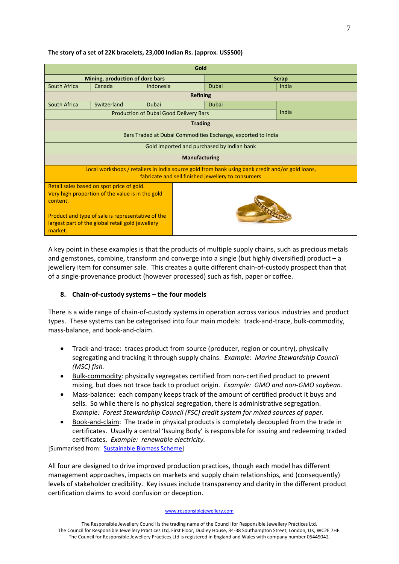## **The story of a set of 22K bracelets, 23,000 Indian Rs. (approx. US\$500)**

| Gold                                                                                                                                                  |                                                                                                                                                                                                        |                                               |                       |       |  |  |
|-------------------------------------------------------------------------------------------------------------------------------------------------------|--------------------------------------------------------------------------------------------------------------------------------------------------------------------------------------------------------|-----------------------------------------------|-----------------------|-------|--|--|
| Mining, production of dore bars                                                                                                                       |                                                                                                                                                                                                        |                                               | <b>Scrap</b>          |       |  |  |
| South Africa                                                                                                                                          | Canada                                                                                                                                                                                                 | Indonesia                                     | <b>Dubai</b><br>India |       |  |  |
|                                                                                                                                                       |                                                                                                                                                                                                        | <b>Refining</b>                               |                       |       |  |  |
| South Africa                                                                                                                                          | Switzerland                                                                                                                                                                                            | Dubai                                         | <b>Dubai</b>          |       |  |  |
|                                                                                                                                                       |                                                                                                                                                                                                        | <b>Production of Dubai Good Delivery Bars</b> |                       | India |  |  |
|                                                                                                                                                       | <b>Trading</b>                                                                                                                                                                                         |                                               |                       |       |  |  |
| Bars Traded at Dubai Commodities Exchange, exported to India                                                                                          |                                                                                                                                                                                                        |                                               |                       |       |  |  |
|                                                                                                                                                       |                                                                                                                                                                                                        | Gold imported and purchased by Indian bank    |                       |       |  |  |
| <b>Manufacturing</b>                                                                                                                                  |                                                                                                                                                                                                        |                                               |                       |       |  |  |
| Local workshops / retailers in India source gold from bank using bank credit and/or gold loans,<br>fabricate and sell finished jewellery to consumers |                                                                                                                                                                                                        |                                               |                       |       |  |  |
| content.<br>market.                                                                                                                                   | Retail sales based on spot price of gold.<br>Very high proportion of the value is in the gold<br>Product and type of sale is representative of the<br>largest part of the global retail gold jewellery |                                               |                       |       |  |  |

A key point in these examples is that the products of multiple supply chains, such as precious metals and gemstones, combine, transform and converge into a single (but highly diversified) product – a jewellery item for consumer sale. This creates a quite different chain-of-custody prospect than that of a single‐provenance product (however processed) such as fish, paper or coffee.

# **8. Chain‐of‐custody systems – the four models**

There is a wide range of chain-of-custody systems in operation across various industries and product types. These systems can be categorised into four main models: track‐and‐trace, bulk‐commodity, mass‐balance, and book‐and‐claim.

- Track-and-trace: traces product from source (producer, region or country), physically segregating and tracking it through supply chains. *Example: Marine Stewardship Council (MSC) fish.*
- Bulk‐commodity: physically segregates certified from non‐certified product to prevent mixing, but does not trace back to product origin. *Example: GMO and non‐GMO soybean.*
- Mass‐balance: each company keeps track of the amount of certified product it buys and sells. So while there is no physical segregation, there is administrative segregation. *Example: Forest Stewardship Council (FSC) credit system for mixed sources of paper.*
- Book‐and‐claim: The trade in physical products is completely decoupled from the trade in certificates. Usually a central 'Issuing Body' is responsible for issuing and redeeming traded certificates. *Example: renewable electricity.*

[Summarised from: Sustainable Biomass Scheme]

All four are designed to drive improved production practices, though each model has different management approaches, impacts on markets and supply chain relationships, and (consequently) levels of stakeholder credibility. Key issues include transparency and clarity in the different product certification claims to avoid confusion or deception.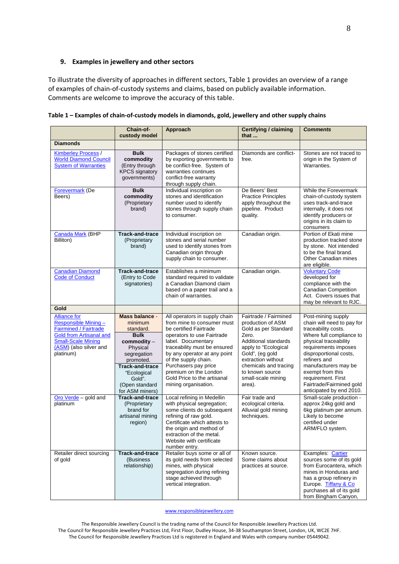## **9. Examples in jewellery and other sectors**

To illustrate the diversity of approaches in different sectors, Table 1 provides an overview of a range of examples of chain‐of‐custody systems and claims, based on publicly available information. Comments are welcome to improve the accuracy of this table.

|                                                                                                                                                                                                          | Chain-of-<br>custody model                                                                                                                                                                                                     | Approach                                                                                                                                                                                                                                                                                                                                                                | <b>Certifying / claiming</b><br>that                                                                                                                                                                                                                               | <b>Comments</b>                                                                                                                                                                                                                                                                                                                                      |
|----------------------------------------------------------------------------------------------------------------------------------------------------------------------------------------------------------|--------------------------------------------------------------------------------------------------------------------------------------------------------------------------------------------------------------------------------|-------------------------------------------------------------------------------------------------------------------------------------------------------------------------------------------------------------------------------------------------------------------------------------------------------------------------------------------------------------------------|--------------------------------------------------------------------------------------------------------------------------------------------------------------------------------------------------------------------------------------------------------------------|------------------------------------------------------------------------------------------------------------------------------------------------------------------------------------------------------------------------------------------------------------------------------------------------------------------------------------------------------|
| <b>Diamonds</b>                                                                                                                                                                                          |                                                                                                                                                                                                                                |                                                                                                                                                                                                                                                                                                                                                                         |                                                                                                                                                                                                                                                                    |                                                                                                                                                                                                                                                                                                                                                      |
| <b>Kimberley Process /</b><br><b>World Diamond Council</b><br><b>System of Warranties</b>                                                                                                                | <b>Bulk</b><br>commodity<br>(Entry through<br><b>KPCS signatory</b><br>governments)                                                                                                                                            | Packages of stones certified<br>by exporting governments to<br>be conflict-free. System of<br>warranties continues<br>conflict-free warranty<br>through supply chain.                                                                                                                                                                                                   | Diamonds are conflict-<br>free.                                                                                                                                                                                                                                    | Stones are not traced to<br>origin in the System of<br>Warranties.                                                                                                                                                                                                                                                                                   |
| <b>Forevermark</b> (De<br>Beers)                                                                                                                                                                         | <b>Bulk</b><br>commodity<br>(Proprietary<br>brand)                                                                                                                                                                             | Individual inscription on<br>stones and identification<br>number used to identify<br>stones through supply chain<br>to consumer.                                                                                                                                                                                                                                        | De Beers' Best<br><b>Practice Principles</b><br>apply throughout the<br>pipeline. Product<br>quality.                                                                                                                                                              | While the Forevermark<br>chain-of-custody system<br>uses track-and-trace<br>internally, it does not<br>identify producers or<br>origins in its claim to<br>consumers                                                                                                                                                                                 |
| Canada Mark (BHP<br>Billiton)                                                                                                                                                                            | <b>Track-and-trace</b><br>(Proprietary<br>brand)                                                                                                                                                                               | Individual inscription on<br>stones and serial number<br>used to identify stones from<br>Canadian origin through<br>supply chain to consumer.                                                                                                                                                                                                                           | Canadian origin.                                                                                                                                                                                                                                                   | Portion of Ekati mine<br>production tracked stone<br>by stone. Not intended<br>to be the final brand.<br>Other Canadian mines<br>are eligible.                                                                                                                                                                                                       |
| <b>Canadian Diamond</b><br><b>Code of Conduct</b>                                                                                                                                                        | <b>Track-and-trace</b><br>(Entry to Code<br>signatories)                                                                                                                                                                       | Establishes a minimum<br>standard required to validate<br>a Canadian Diamond claim<br>based on a paper trail and a<br>chain of warranties.                                                                                                                                                                                                                              | Canadian origin.                                                                                                                                                                                                                                                   | <b>Voluntary Code</b><br>developed for<br>compliance with the<br><b>Canadian Competition</b><br>Act. Covers issues that<br>may be relevant to RJC.                                                                                                                                                                                                   |
| Gold                                                                                                                                                                                                     |                                                                                                                                                                                                                                |                                                                                                                                                                                                                                                                                                                                                                         |                                                                                                                                                                                                                                                                    |                                                                                                                                                                                                                                                                                                                                                      |
| <b>Alliance for</b><br>Responsible Mining-<br><b>Fairmined / Fairtrade</b><br><b>Gold from Artisanal and</b><br><b>Small-Scale Mining</b><br>(ASM) (also silver and<br>platinum)<br>Oro Verde - gold and | Mass balance -<br>minimum<br>standard.<br><b>Bulk</b><br>commodity -<br>Physical<br>segregation<br>promoted.<br><b>Track-and-trace</b><br>"Ecological<br>Gold".<br>(Open standard<br>for ASM miners)<br><b>Track-and-trace</b> | All operators in supply chain<br>from mine to consumer must<br>be certified Fairtrade<br>operators to use Fairtrade<br>label. Documentary<br>traceability must be ensured<br>by any operator at any point<br>of the supply chain.<br>Purchasers pay price<br>premium on the London<br>Gold Price to the artisanal<br>mining organisation.<br>Local refining in Medellin | Fairtrade / Fairmined<br>production of ASM<br>Gold as per Standard<br>Zero.<br>Additional standards<br>apply to "Ecological<br>Gold", (eg gold<br>extraction without<br>chemicals and tracing<br>to known source<br>small-scale mining<br>area).<br>Fair trade and | Post-mining supply<br>chain will need to pay for<br>traceability costs.<br>Where full compliance to<br>physical traceability<br>requirements imposes<br>disproportional costs,<br>refiners and<br>manufacturers may be<br>exempt from this<br>requirement. First<br>Fairtrade/Fairmined gold<br>anticipated by end 2010.<br>Small-scale production - |
| platinum                                                                                                                                                                                                 | (Proprietary<br>brand for<br>artisanal mining<br>region)                                                                                                                                                                       | with physical segregation;<br>some clients do subsequent<br>refining of raw gold.<br>Certificate which attests to<br>the origin and method of<br>extraction of the metal.<br>Website with certificate<br>number entry.                                                                                                                                                  | ecological criteria.<br>Alluvial gold mining<br>techniques.                                                                                                                                                                                                        | approx 24kg gold and<br>6kg platinum per annum.<br>Likely to become<br>certified under<br>ARM/FLO system.                                                                                                                                                                                                                                            |
| Retailer direct sourcing<br>of gold                                                                                                                                                                      | <b>Track-and-trace</b><br>(Business)<br>relationship)                                                                                                                                                                          | Retailer buys some or all of<br>its gold needs from selected<br>mines, with physical<br>segregation during refining<br>stage achieved through<br>vertical integration.                                                                                                                                                                                                  | Known source.<br>Some claims about<br>practices at source.                                                                                                                                                                                                         | Examples: Cartier<br>sources some of its gold<br>from Eurocantera, which<br>mines in Honduras and<br>has a group refinery in<br>Europe. Tiffany & Co<br>purchases all of its gold<br>from Bingham Canyon,                                                                                                                                            |

Table 1 - Examples of chain-of-custody models in diamonds, gold, jewellery and other supply chains

www.responsiblejewellery.com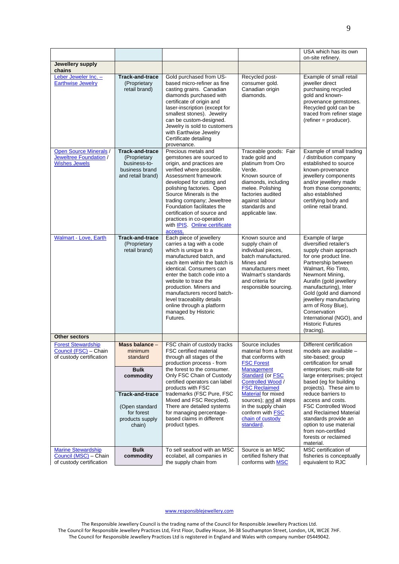|                                                                                 |                                                                                                                                                            |                                                                                                                                                                                                                                                                                                                                                                                                            |                                                                                                                                                                                                                                                                                                                       | USA which has its own<br>on-site refinery.                                                                                                                                                                                                                                                                                                                                                                             |
|---------------------------------------------------------------------------------|------------------------------------------------------------------------------------------------------------------------------------------------------------|------------------------------------------------------------------------------------------------------------------------------------------------------------------------------------------------------------------------------------------------------------------------------------------------------------------------------------------------------------------------------------------------------------|-----------------------------------------------------------------------------------------------------------------------------------------------------------------------------------------------------------------------------------------------------------------------------------------------------------------------|------------------------------------------------------------------------------------------------------------------------------------------------------------------------------------------------------------------------------------------------------------------------------------------------------------------------------------------------------------------------------------------------------------------------|
| Jewellery supply<br>chains                                                      |                                                                                                                                                            |                                                                                                                                                                                                                                                                                                                                                                                                            |                                                                                                                                                                                                                                                                                                                       |                                                                                                                                                                                                                                                                                                                                                                                                                        |
| Leber Jeweler Inc. -<br><b>Earthwise Jewelry</b>                                | <b>Track-and-trace</b><br>(Proprietary<br>retail brand)                                                                                                    | Gold purchased from US-<br>based micro-refiner as fine<br>casting grains. Canadian<br>diamonds purchased with<br>certificate of origin and<br>laser-inscription (except for<br>smallest stones). Jewelry<br>can be custom-designed.<br>Jewelry is sold to customers<br>with Earthwise Jewelry<br>Certificate detailing<br>provenance.                                                                      | Recycled post-<br>consumer gold.<br>Canadian origin<br>diamonds.                                                                                                                                                                                                                                                      | Example of small retail<br>ieweller direct<br>purchasing recycled<br>gold and known-<br>provenance gemstones.<br>Recycled gold can be<br>traced from refiner stage<br>$(refiner = producer)$ .                                                                                                                                                                                                                         |
| <b>Open Source Minerals /</b><br>Jeweltree Foundation /<br><b>Wishes Jewels</b> | <b>Track-and-trace</b><br>(Proprietary<br>business-to-<br>business brand<br>and retail brand)                                                              | Precious metals and<br>gemstones are sourced to<br>origin, and practices are<br>verified where possible.<br>Assessment framework<br>developed for cutting and<br>polishing factories. Open<br>Source Minerals is the<br>trading company; Jeweltree<br>Foundation facilitates the<br>certification of source and<br>practices in co-operation<br>with IPIS. Online certificate<br>access.                   | Traceable goods: Fair<br>trade gold and<br>platinum from Oro<br>Verde.<br>Known source of<br>diamonds, including<br>melee. Polishing<br>factories audited<br>against labour<br>standards and<br>applicable law.                                                                                                       | Example of small trading<br>/ distribution company<br>established to source<br>known-provenance<br>jewellery components<br>and/or jewellery made<br>from those components;<br>also established<br>certifying body and<br>online retail brand.                                                                                                                                                                          |
| <b>Walmart - Love, Earth</b>                                                    | <b>Track-and-trace</b><br>(Proprietary<br>retail brand)                                                                                                    | Each piece of jewellery<br>carries a tag with a code<br>which is unique to a<br>manufactured batch, and<br>each item within the batch is<br>identical. Consumers can<br>enter the batch code into a<br>website to trace the<br>production. Miners and<br>manufacturers record batch-<br>level traceability details<br>online through a platform<br>managed by Historic<br>Futures.                         | Known source and<br>supply chain of<br>individual pieces,<br>batch manufactured.<br>Mines and<br>manufacturers meet<br>Walmart's standards<br>and criteria for<br>responsible sourcing.                                                                                                                               | Example of large<br>diversified retailer's<br>supply chain approach<br>for one product line.<br>Partnership between<br>Walmart, Rio Tinto,<br>Newmont Mining,<br>Aurafin (gold jewellery<br>manufacturing), Inter<br>Gold (gold and diamond<br>jewellery manufacturing<br>arm of Rosy Blue),<br>Conservation<br>International (NGO), and<br><b>Historic Futures</b><br>(tracing).                                      |
| <b>Other sectors</b>                                                            |                                                                                                                                                            |                                                                                                                                                                                                                                                                                                                                                                                                            |                                                                                                                                                                                                                                                                                                                       |                                                                                                                                                                                                                                                                                                                                                                                                                        |
| <b>Forest Stewardship</b><br>Council (FSC) - Chain<br>of custody certification  | Mass balance $-$<br>minimum<br>standard<br><b>Bulk</b><br>commodity<br><b>Track-and-trace</b><br>(Open standard<br>for forest<br>products supply<br>chain) | FSC chain of custody tracks<br><b>FSC</b> certified material<br>through all stages of the<br>production process - from<br>the forest to the consumer.<br>Only FSC Chain of Custody<br>certified operators can label<br>products with FSC<br>trademarks (FSC Pure, FSC<br>Mixed and FSC Recycled).<br>There are detailed systems<br>for managing percentage-<br>based claims in different<br>product types. | Source includes<br>material from a forest<br>that conforms with<br><b>FSC Forest</b><br>Management<br><b>Standard (or FSC</b><br><b>Controlled Wood /</b><br><b>FSC Reclaimed</b><br><b>Material for mixed</b><br>sources); and all steps<br>in the supply chain<br>conform with FSC<br>chain of custody<br>standard. | Different certification<br>models are available -<br>site-based; group<br>certification for small<br>enterprises; multi-site for<br>large enterprises; project<br>based (eg for building<br>projects). These aim to<br>reduce barriers to<br>access and costs.<br><b>FSC Controlled Wood</b><br>and Reclaimed Material<br>standards provide an<br>option to use material<br>from non-certified<br>forests or reclaimed |
| <b>Marine Stewardship</b><br>Council (MSC) - Chain<br>of custody certification  | <b>Bulk</b><br>commodity                                                                                                                                   | To sell seafood with an MSC<br>ecolabel, all companies in<br>the supply chain from                                                                                                                                                                                                                                                                                                                         | Source is an MSC<br>certified fishery that<br>conforms with MSC                                                                                                                                                                                                                                                       | material.<br>MSC certification of<br>fisheries is conceptually<br>equivalent to RJC                                                                                                                                                                                                                                                                                                                                    |

### www.responsiblejewellery.com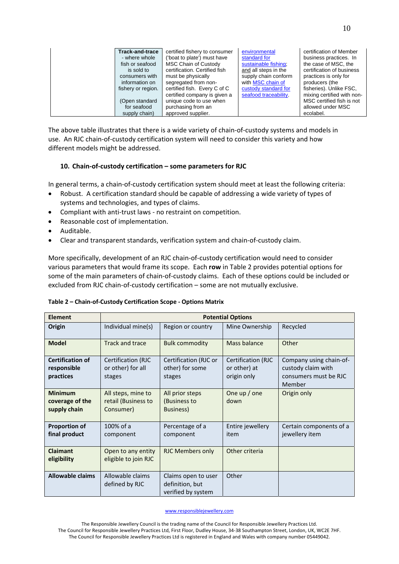| <b>Track-and-trace</b><br>- where whole<br>fish or seafood<br>is sold to<br>consumers with<br>information on<br>fishery or region.<br>(Open standard<br>for seafood<br>supply chain) | certified fishery to consumer<br>('boat to plate') must have<br><b>MSC Chain of Custody</b><br>certification. Certified fish<br>must be physically<br>segregated from non-<br>certified fish. Every C of C<br>certified company is given a<br>unique code to use when<br>purchasing from an<br>approved supplier. | environmental<br>standard for<br>sustainable fishing;<br>and all steps in the<br>supply chain conform<br>with MSC chain of<br>custody standard for<br>seafood traceability. | certification of Member<br>business practices. In<br>the case of MSC, the<br>certification of business<br>practices is only for<br>producers (the<br>fisheries). Unlike FSC,<br>mixing certified with non-<br>MSC certified fish is not<br>allowed under MSC<br>ecolabel. |
|--------------------------------------------------------------------------------------------------------------------------------------------------------------------------------------|-------------------------------------------------------------------------------------------------------------------------------------------------------------------------------------------------------------------------------------------------------------------------------------------------------------------|-----------------------------------------------------------------------------------------------------------------------------------------------------------------------------|---------------------------------------------------------------------------------------------------------------------------------------------------------------------------------------------------------------------------------------------------------------------------|
|--------------------------------------------------------------------------------------------------------------------------------------------------------------------------------------|-------------------------------------------------------------------------------------------------------------------------------------------------------------------------------------------------------------------------------------------------------------------------------------------------------------------|-----------------------------------------------------------------------------------------------------------------------------------------------------------------------------|---------------------------------------------------------------------------------------------------------------------------------------------------------------------------------------------------------------------------------------------------------------------------|

The above table illustrates that there is a wide variety of chain-of-custody systems and models in use. An RJC chain-of-custody certification system will need to consider this variety and how different models might be addressed.

## **10. Chain‐of‐custody certification – some parameters for RJC**

In general terms, a chain-of-custody certification system should meet at least the following criteria:

- Robust. A certification standard should be capable of addressing a wide variety of types of systems and technologies, and types of claims.
- Compliant with anti-trust laws no restraint on competition.
- Reasonable cost of implementation.
- Auditable.
- Clear and transparent standards, verification system and chain‐of‐custody claim.

More specifically, development of an RJC chain‐of‐custody certification would need to consider various parameters that would frame its scope. Each **row** in Table 2 provides potential options for some of the main parameters of chain-of-custody claims. Each of these options could be included or excluded from RJC chain‐of‐custody certification – some are not mutually exclusive.

| Table 2 - Chain-of-Custody Certification Scope - Options Matrix |
|-----------------------------------------------------------------|
|                                                                 |

| <b>Element</b>                                      | <b>Potential Options</b>                               |                                                              |                                                   |                                                                                  |  |
|-----------------------------------------------------|--------------------------------------------------------|--------------------------------------------------------------|---------------------------------------------------|----------------------------------------------------------------------------------|--|
| Origin                                              | Individual mine(s)                                     | Region or country                                            | Mine Ownership                                    | Recycled                                                                         |  |
| <b>Model</b>                                        | Track and trace                                        | <b>Bulk commodity</b>                                        | Mass balance                                      | Other                                                                            |  |
| <b>Certification of</b><br>responsible<br>practices | Certification (RJC<br>or other) for all<br>stages      | Certification (RJC or<br>other) for some<br>stages           | Certification (RJC<br>or other) at<br>origin only | Company using chain-of-<br>custody claim with<br>consumers must be RJC<br>Member |  |
| <b>Minimum</b><br>coverage of the<br>supply chain   | All steps, mine to<br>retail (Business to<br>Consumer) | All prior steps<br>(Business to<br>Business)                 | One up $/$ one<br>down                            | Origin only                                                                      |  |
| <b>Proportion of</b><br>final product               | 100% of a<br>component                                 | Percentage of a<br>component                                 | Entire jewellery<br>item                          | Certain components of a<br>jewellery item                                        |  |
| <b>Claimant</b><br>eligibility                      | Open to any entity<br>eligible to join RJC             | <b>RJC Members only</b>                                      | Other criteria                                    |                                                                                  |  |
| <b>Allowable claims</b>                             | Allowable claims<br>defined by RJC                     | Claims open to user<br>definition, but<br>verified by system | Other                                             |                                                                                  |  |

#### www.responsiblejewellery.com